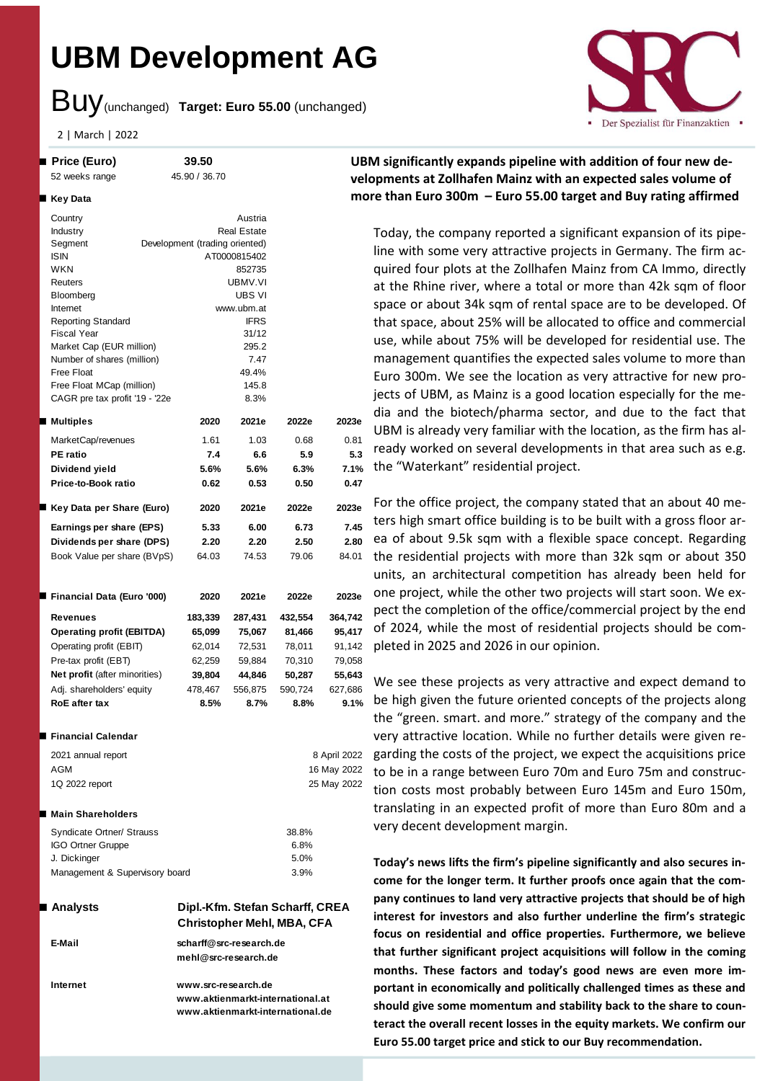# **UBM Development AG**

Buy(unchanged) **Target: Euro 55.00** (unchanged)

2 | March | 2022

#### **Price (Euro) 39.50** 52 weeks range 45.90 / 36.70

#### ■ Key Data

| Country                          | Austria                           |                    |         |              |  |
|----------------------------------|-----------------------------------|--------------------|---------|--------------|--|
| Industry                         |                                   | <b>Real Estate</b> |         |              |  |
| Segment                          | Development (trading oriented)    |                    |         |              |  |
| ISIN                             |                                   | AT0000815402       |         |              |  |
| WKN                              |                                   | 852735             |         |              |  |
| Reuters                          |                                   | UBMV.VI            |         |              |  |
| Bloomberg                        |                                   | UBS VI             |         |              |  |
| Internet                         |                                   | www.ubm.at         |         |              |  |
| <b>Reporting Standard</b>        |                                   | <b>IFRS</b>        |         |              |  |
| Fiscal Year                      |                                   | 31/12              |         |              |  |
| Market Cap (EUR million)         |                                   | 295.2              |         |              |  |
| Number of shares (million)       |                                   | 7.47               |         |              |  |
| Free Float                       |                                   | 49.4%              |         |              |  |
| Free Float MCap (million)        |                                   | 145.8              |         |              |  |
| CAGR pre tax profit '19 - '22e   |                                   | 8.3%               |         |              |  |
|                                  |                                   |                    |         |              |  |
| <b>Multiples</b><br>٠            | 2020                              | 2021e              | 2022e   | 2023e        |  |
| MarketCap/revenues               | 1.61                              | 1.03               | 0.68    | 0.81         |  |
| <b>PE</b> ratio                  | 7.4                               | 6.6                | 5.9     | 5.3          |  |
| Dividend yield                   | 5.6%                              | 5.6%               | 6.3%    | 7.1%         |  |
|                                  |                                   |                    |         |              |  |
| Price-to-Book ratio              | 0.62                              | 0.53               | 0.50    | 0.47         |  |
| Key Data per Share (Euro)<br>▁   | 2020                              | 2021e              | 2022e   | 2023e        |  |
|                                  |                                   |                    |         |              |  |
| Earnings per share (EPS)         | 5.33                              | 6.00               | 6.73    | 7.45         |  |
| Dividends per share (DPS)        | 2.20                              | 2.20               | 2.50    | 2.80         |  |
| Book Value per share (BVpS)      | 64.03                             | 74.53              | 79.06   | 84.01        |  |
|                                  |                                   |                    |         |              |  |
|                                  |                                   |                    |         |              |  |
| ■ Financial Data (Euro '000)     | 2020                              | 2021e              | 2022e   | 2023e        |  |
|                                  |                                   |                    |         |              |  |
| Revenues                         | 183,339                           | 287,431            | 432,554 | 364,742      |  |
| <b>Operating profit (EBITDA)</b> | 65,099                            | 75,067             | 81,466  | 95,417       |  |
| Operating profit (EBIT)          | 62,014                            | 72,531             | 78,011  | 91,142       |  |
| Pre-tax profit (EBT)             | 62,259                            | 59,884             | 70,310  | 79,058       |  |
| Net profit (after minorities)    | 39,804                            | 44,846             | 50,287  | 55,643       |  |
| Adj. shareholders' equity        | 478,467                           | 556,875            | 590,724 | 627,686      |  |
|                                  |                                   |                    |         |              |  |
| <b>RoE</b> after tax             | 8.5%                              | 8.7%               | 8.8%    | 9.1%         |  |
|                                  |                                   |                    |         |              |  |
| <b>Financial Calendar</b>        |                                   |                    |         |              |  |
| 2021 annual report               |                                   |                    |         | 8 April 2022 |  |
|                                  |                                   |                    |         |              |  |
| AGM                              |                                   |                    |         | 16 May 2022  |  |
| 1Q 2022 report                   |                                   |                    |         | 25 May 2022  |  |
|                                  |                                   |                    |         |              |  |
| ■ Main Shareholders              |                                   |                    |         |              |  |
| <b>Syndicate Ortner/ Strauss</b> |                                   |                    | 38.8%   |              |  |
| <b>IGO Ortner Gruppe</b>         |                                   |                    | 6.8%    |              |  |
| J. Dickinger                     |                                   |                    | 5.0%    |              |  |
| Management & Supervisory board   |                                   |                    | 3.9%    |              |  |
|                                  |                                   |                    |         |              |  |
|                                  |                                   |                    |         |              |  |
| ■ Analysts                       | Dipl.-Kfm. Stefan Scharff, CREA   |                    |         |              |  |
|                                  | <b>Christopher Mehl, MBA, CFA</b> |                    |         |              |  |
|                                  |                                   |                    |         |              |  |
| E-Mail                           | scharff@src-research.de           |                    |         |              |  |
|                                  | mehl@src-research.de              |                    |         |              |  |
|                                  |                                   |                    |         |              |  |
| Internet<br>www.src-research.de  |                                   |                    |         |              |  |
|                                  | www.aktienmarkt-international.at  |                    |         |              |  |
|                                  | www.aktienmarkt-international.de  |                    |         |              |  |
|                                  |                                   |                    |         |              |  |

### **UBM significantly expands pipeline with addition of four new developments at Zollhafen Mainz with an expected sales volume of more than Euro 300m – Euro 55.00 target and Buy rating affirmed**

Today, the company reported a significant expansion of its pipeline with some very attractive projects in Germany. The firm acquired four plots at the Zollhafen Mainz from CA Immo, directly at the Rhine river, where a total or more than 42k sqm of floor space or about 34k sqm of rental space are to be developed. Of that space, about 25% will be allocated to office and commercial use, while about 75% will be developed for residential use. The management quantifies the expected sales volume to more than Euro 300m. We see the location as very attractive for new projects of UBM, as Mainz is a good location especially for the media and the biotech/pharma sector, and due to the fact that UBM is already very familiar with the location, as the firm has already worked on several developments in that area such as e.g. the "Waterkant" residential project.

For the office project, the company stated that an about 40 meters high smart office building is to be built with a gross floor area of about 9.5k sqm with a flexible space concept. Regarding the residential projects with more than 32k sqm or about 350 units, an architectural competition has already been held for one project, while the other two projects will start soon. We expect the completion of the office/commercial project by the end of 2024, while the most of residential projects should be completed in 2025 and 2026 in our opinion.

We see these projects as very attractive and expect demand to be high given the future oriented concepts of the projects along the "green. smart. and more." strategy of the company and the very attractive location. While no further details were given regarding the costs of the project, we expect the acquisitions price to be in a range between Euro 70m and Euro 75m and construction costs most probably between Euro 145m and Euro 150m, translating in an expected profit of more than Euro 80m and a very decent development margin.

**Today's news lifts the firm's pipeline significantly and also secures income for the longer term. It further proofs once again that the company continues to land very attractive projects that should be of high interest for investors and also further underline the firm's strategic focus on residential and office properties. Furthermore, we believe that further significant project acquisitions will follow in the coming months. These factors and today's good news are even more important in economically and politically challenged times as these and should give some momentum and stability back to the share to counteract the overall recent losses in the equity markets. We confirm our Euro 55.00 target price and stick to our Buy recommendation.** 

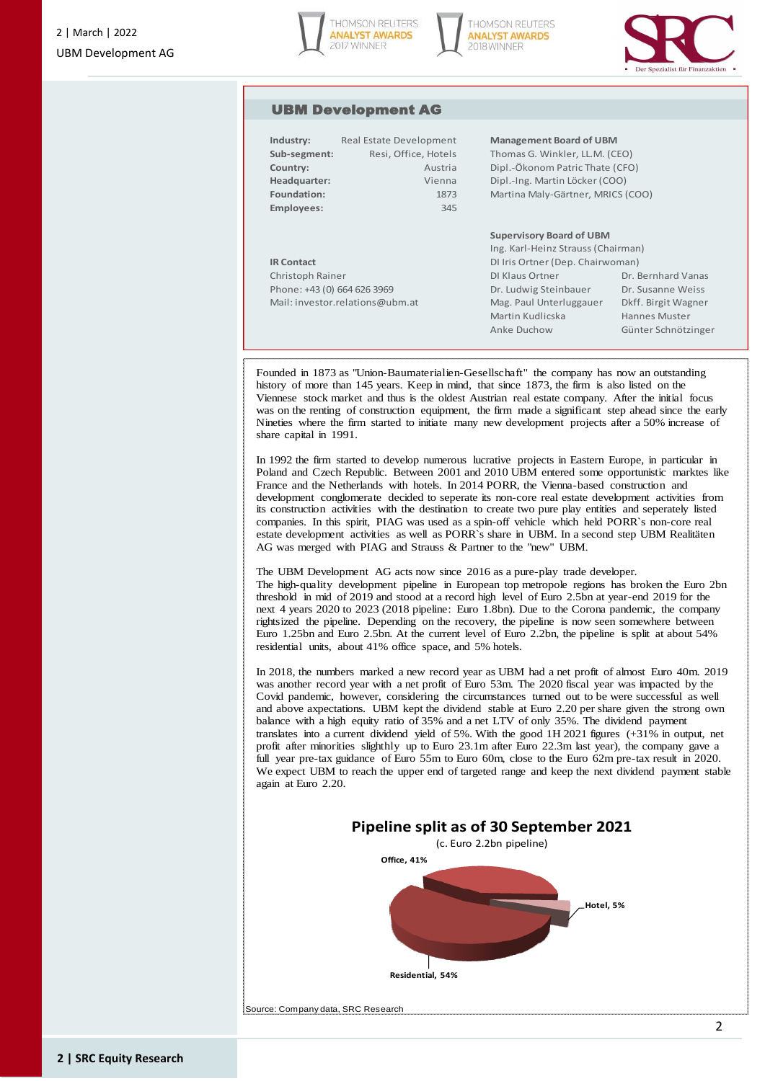





#### UBM Development AG

| Industry:                      | Real Estate Development |                                  | <b>Management Board of UBM</b>          |                    |  |  |  |
|--------------------------------|-------------------------|----------------------------------|-----------------------------------------|--------------------|--|--|--|
| Sub-segment:                   | Resi, Office, Hotels    |                                  | Thomas G. Winkler, LL.M. (CEO)          |                    |  |  |  |
| Country:                       | Austria                 |                                  | Dipl.-Ökonom Patric Thate (CFO)         |                    |  |  |  |
| Headquarter:                   | Vienna                  |                                  | Dipl.-Ing. Martin Löcker (COO)          |                    |  |  |  |
| Foundation:                    | 1873                    |                                  | Martina Maly-Gärtner, MRICS (COO)       |                    |  |  |  |
| <b>Employees:</b>              | 345                     |                                  |                                         |                    |  |  |  |
|                                |                         |                                  | <b>Supervisory Board of UBM</b>         |                    |  |  |  |
|                                |                         |                                  | Ing. Karl-Heinz Strauss (Chairman)      |                    |  |  |  |
| <b>IR Contact</b>              |                         | DI Iris Ortner (Dep. Chairwoman) |                                         |                    |  |  |  |
| Christoph Rainer               |                         |                                  | DI Klaus Ortner                         | Dr. Bernhard Vanas |  |  |  |
| Phone: +43 (0) 664 626 3969    |                         |                                  | Dr. Ludwig Steinbauer                   | Dr. Susanne Weiss  |  |  |  |
| Mail: invostor relations@uhmat |                         |                                  | Mag Daul Unterluggener<br>Dirrit Wannor |                    |  |  |  |

| <b>IR Contact</b>               | DI Iris Ortner (Dep. Chairwoman) |                      |  |  |
|---------------------------------|----------------------------------|----------------------|--|--|
| Christoph Rainer                | DI Klaus Ortner                  | Dr. Bernhard Vanas   |  |  |
| Phone: +43 (0) 664 626 3969     | Dr. Ludwig Steinbauer            | Dr. Susanne Weiss    |  |  |
| Mail: investor.relations@ubm.at | Mag. Paul Unterluggauer          | Dkff. Birgit Wagner  |  |  |
|                                 | Martin Kudlicska                 | <b>Hannes Muster</b> |  |  |
|                                 | Anke Duchow                      | Günter Schnötzinger  |  |  |
|                                 |                                  |                      |  |  |

Founded in 1873 as "Union-Baumaterialien-Gesellschaft" the company has now an Founded in 1873 as "Union-Baumaterialien-Gesellschaft" the company has now an outstanding history of more than 145 years. Keep in mind, that since 1873, the firm is also listed on the  $\overline{\phantom{a}}$ Viennese stock market and thus is the oldest Austrian real estate company. After the initial focus Nineties where the firm started to initiate many new development projects after a 50% increase of  $\frac{1}{1}$  share capital in 1991. was on the renting of construction equipment, the firm made a significant step ahead since the early

Poland and Czech Republic. Between 2001 and 2010 UBM entered some opportunistic marktes like particular in Poland and the republicance with notes. Between 2014 POKK, the vientia-based construction and development conglomerate decided to seperate its non-core real estate development activities from its construction activities with the destination to create two pure play entities and seperately listed companies. In this spirit, PIAG was used as a spin-off vehicle which held PORR`s non-core real estate development activities as well as PORR`s share in UBM. In a second step UBM Realitäten AG was merged with PIAG and Strauss & Partner to the "new" UBM. In 1992 the firm started to develop numerous lucrative projects in Eastern Europe, in particular in France and the Netherlands with hotels. In 2014 PORR, the Vienna-based construction and

The UBM Development AG acts now since 2016 as a pure-play trade developer. The bigh-quality development pipeline in European top metropole regions has broken the Euro 2bn threshold in mid of 2019 and stood at a record high level of Euro 2.5bn at year-end 2019 for the rightsized the pipeline. Depending on the recovery, the pipeline is now seen somewhere between Euro 1.25bn and Euro 2.5bn. At the current level of Euro 2.2bn, the pipeline is split at about 54% residential units, about 41% office space, and 5% hotels. next 4 years 2020 to 2023 (2018 pipeline: Euro 1.8bn). Due to the Corona pandemic, the company

In 2018, the numbers marked a new record year as UBM had a net profit of almost Euro 40m. 2019 m 2010, the namelic thanked a new record year as examined the profit of annost Early Tom. 20<br>was another record year with a net profit of Euro 53m. The 2020 fiscal year was impacted by the Covid pandemic, however, considering the circumstances turned out to be were successful as well and above axpectations. UBM kept the dividend stable at Euro 2.20 per share given the strong own balance with a high equity ratio of 35% and a net LTV of only 35%. The dividend payment translates into a current dividend yield of 5%. With the good 1H 2021 figures  $(+31\%$  in output, net profit and the remaining solding the networks are 1 in The Netherlands and Netherlands, 1 in The Netherlands, 2 in The Netherlands, 2 in The Netherlands, 2 in The Netherlands, 1 in 2020. The put the called the upper control of targeted range and keep the next dividend payment stable<br>We expect UBM to reach the upper end of targeted range and keep the next dividend payment stable  $\frac{1}{2}$  again at Euro 2.20. profit after minorities slighthly up to Euro 23.1m after Euro 22.3m last year), the company gave a



Source: Company data, SRC Research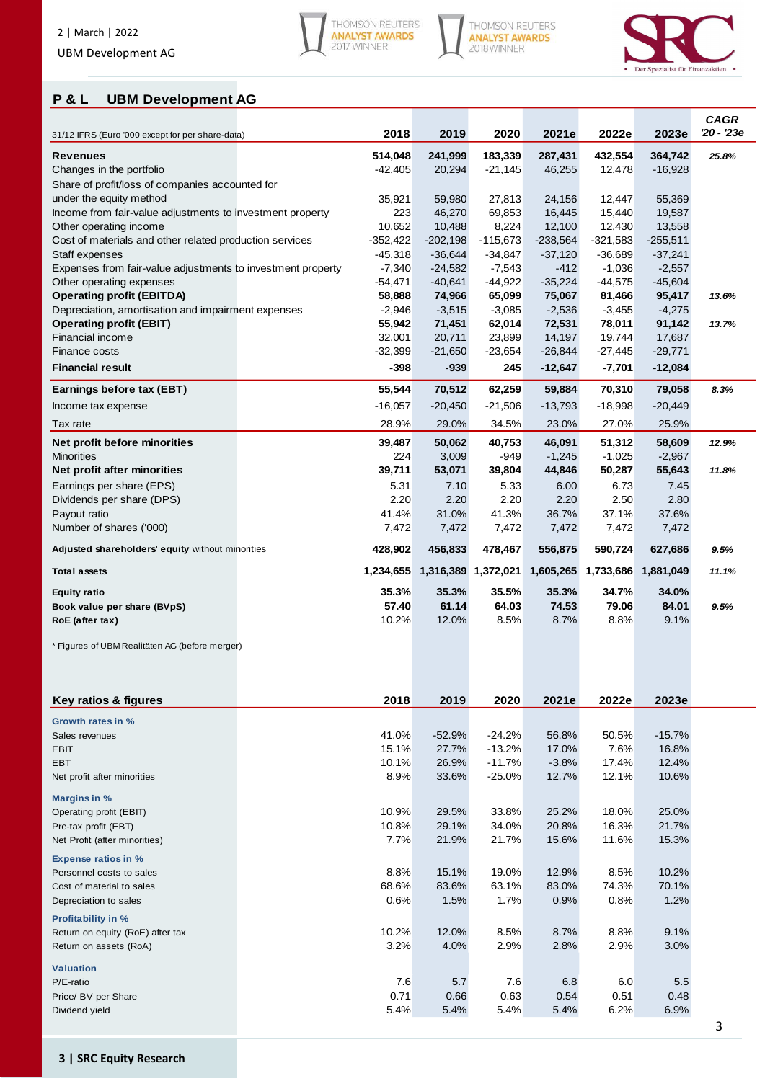





## **P & L UBM Development AG**

|                                                                                         |                       |                               |                       |                     |                       |                       | <b>CAGR</b> |
|-----------------------------------------------------------------------------------------|-----------------------|-------------------------------|-----------------------|---------------------|-----------------------|-----------------------|-------------|
| 31/12 IFRS (Euro '000 except for per share-data)                                        | 2018                  | 2019                          | 2020                  | 2021e               | 2022e                 | 2023e                 | '20 - '23e  |
| <b>Revenues</b>                                                                         | 514,048               | 241,999                       | 183,339               | 287,431             | 432,554               | 364,742               | 25.8%       |
| Changes in the portfolio                                                                | -42,405               | 20,294                        | $-21,145$             | 46,255              | 12,478                | $-16,928$             |             |
| Share of profit/loss of companies accounted for                                         |                       |                               |                       |                     |                       |                       |             |
| under the equity method                                                                 | 35,921                | 59,980                        | 27,813                | 24,156              | 12,447                | 55,369                |             |
| Income from fair-value adjustments to investment property                               | 223                   | 46,270                        | 69,853                | 16,445              | 15,440                | 19,587                |             |
| Other operating income                                                                  | 10,652                | 10,488                        | 8,224                 | 12,100              | 12,430                | 13,558                |             |
| Cost of materials and other related production services                                 | $-352,422$            | $-202,198$                    | $-115,673$            | $-238,564$          | $-321,583$            | $-255,511$            |             |
| Staff expenses                                                                          | $-45,318$<br>$-7,340$ | $-36,644$<br>$-24,582$        | $-34,847$<br>$-7,543$ | $-37,120$<br>$-412$ | $-36,689$<br>$-1,036$ | $-37,241$             |             |
| Expenses from fair-value adjustments to investment property<br>Other operating expenses | $-54,471$             | $-40,641$                     | $-44,922$             | $-35,224$           | $-44,575$             | $-2,557$<br>$-45,604$ |             |
| <b>Operating profit (EBITDA)</b>                                                        | 58,888                | 74,966                        | 65,099                | 75,067              | 81,466                | 95,417                | 13.6%       |
| Depreciation, amortisation and impairment expenses                                      | $-2,946$              | $-3,515$                      | $-3,085$              | $-2,536$            | $-3,455$              | $-4,275$              |             |
| <b>Operating profit (EBIT)</b>                                                          | 55,942                | 71,451                        | 62,014                | 72,531              | 78,011                | 91,142                | 13.7%       |
| Financial income                                                                        | 32,001                | 20,711                        | 23,899                | 14,197              | 19,744                | 17,687                |             |
| <b>Finance costs</b>                                                                    | $-32,399$             | $-21,650$                     | $-23,654$             | $-26,844$           | $-27,445$             | $-29,771$             |             |
| <b>Financial result</b>                                                                 | -398                  | $-939$                        | 245                   | $-12,647$           | $-7,701$              | $-12,084$             |             |
| Earnings before tax (EBT)                                                               | 55,544                | 70,512                        | 62,259                | 59,884              | 70,310                | 79,058                | 8.3%        |
| Income tax expense                                                                      | $-16,057$             | $-20,450$                     | $-21,506$             | $-13,793$           | $-18,998$             | $-20,449$             |             |
|                                                                                         |                       |                               |                       |                     |                       |                       |             |
| Tax rate                                                                                | 28.9%                 | 29.0%                         | 34.5%                 | 23.0%               | 27.0%                 | 25.9%                 |             |
| Net profit before minorities                                                            | 39,487                | 50,062                        | 40,753                | 46,091              | 51,312                | 58,609                | 12.9%       |
| <b>Minorities</b>                                                                       | 224                   | 3,009                         | -949                  | $-1,245$            | $-1,025$              | $-2,967$              |             |
| Net profit after minorities                                                             | 39,711                | 53,071                        | 39,804                | 44,846              | 50,287                | 55,643                | 11.8%       |
| Earnings per share (EPS)<br>Dividends per share (DPS)                                   | 5.31<br>2.20          | 7.10<br>2.20                  | 5.33<br>2.20          | 6.00<br>2.20        | 6.73<br>2.50          | 7.45<br>2.80          |             |
| Payout ratio                                                                            | 41.4%                 | 31.0%                         | 41.3%                 | 36.7%               | 37.1%                 | 37.6%                 |             |
| Number of shares ('000)                                                                 | 7,472                 | 7,472                         | 7,472                 | 7,472               | 7,472                 | 7,472                 |             |
| Adjusted shareholders' equity without minorities                                        | 428,902               | 456,833                       | 478,467               | 556,875             | 590,724               | 627,686               | 9.5%        |
| <b>Total assets</b>                                                                     |                       | 1,234,655 1,316,389 1,372,021 |                       |                     | 1,605,265 1,733,686   | 1,881,049             | 11.1%       |
|                                                                                         |                       |                               |                       |                     |                       |                       |             |
| <b>Equity ratio</b>                                                                     | 35.3%<br>57.40        | 35.3%<br>61.14                | 35.5%<br>64.03        | 35.3%<br>74.53      | 34.7%<br>79.06        | 34.0%<br>84.01        |             |
| Book value per share (BVpS)<br>RoE (after tax)                                          | 10.2%                 | 12.0%                         | 8.5%                  | 8.7%                | 8.8%                  | 9.1%                  | 9.5%        |
|                                                                                         |                       |                               |                       |                     |                       |                       |             |
| * Figures of UBM Realitäten AG (before merger)                                          |                       |                               |                       |                     |                       |                       |             |
|                                                                                         |                       |                               |                       |                     |                       |                       |             |
|                                                                                         |                       |                               |                       |                     |                       |                       |             |
| Key ratios & figures                                                                    | 2018                  | 2019                          | 2020                  | 2021e               | 2022e                 | 2023e                 |             |
|                                                                                         |                       |                               |                       |                     |                       |                       |             |
| Growth rates in %                                                                       | 41.0%                 | $-52.9%$                      | $-24.2%$              | 56.8%               | 50.5%                 | $-15.7%$              |             |
| Sales revenues<br>EBIT                                                                  | 15.1%                 | 27.7%                         | $-13.2%$              | 17.0%               | 7.6%                  | 16.8%                 |             |
| EBT                                                                                     | 10.1%                 | 26.9%                         | $-11.7%$              | $-3.8%$             | 17.4%                 | 12.4%                 |             |
| Net profit after minorities                                                             | 8.9%                  | 33.6%                         | $-25.0%$              | 12.7%               | 12.1%                 | 10.6%                 |             |
|                                                                                         |                       |                               |                       |                     |                       |                       |             |
| Margins in %                                                                            | 10.9%                 | 29.5%                         | 33.8%                 |                     | 18.0%                 | 25.0%                 |             |
| Operating profit (EBIT)<br>Pre-tax profit (EBT)                                         | 10.8%                 | 29.1%                         | 34.0%                 | 25.2%<br>20.8%      | 16.3%                 | 21.7%                 |             |
| Net Profit (after minorities)                                                           | 7.7%                  | 21.9%                         | 21.7%                 | 15.6%               | 11.6%                 | 15.3%                 |             |
|                                                                                         |                       |                               |                       |                     |                       |                       |             |
| <b>Expense ratios in %</b><br>Personnel costs to sales                                  | 8.8%                  | 15.1%                         | 19.0%                 | 12.9%               | 8.5%                  | 10.2%                 |             |
| Cost of material to sales                                                               | 68.6%                 | 83.6%                         | 63.1%                 | 83.0%               | 74.3%                 | 70.1%                 |             |
| Depreciation to sales                                                                   | 0.6%                  | 1.5%                          | 1.7%                  | $0.9\%$             | 0.8%                  | 1.2%                  |             |
| <b>Profitability in %</b>                                                               |                       |                               |                       |                     |                       |                       |             |
| Return on equity (RoE) after tax                                                        | 10.2%                 | 12.0%                         | 8.5%                  | 8.7%                | 8.8%                  | 9.1%                  |             |
| Return on assets (RoA)                                                                  | 3.2%                  | 4.0%                          | 2.9%                  | 2.8%                | 2.9%                  | 3.0%                  |             |
|                                                                                         |                       |                               |                       |                     |                       |                       |             |
| <b>Valuation</b>                                                                        |                       |                               |                       |                     |                       |                       |             |
| P/E-ratio                                                                               | 7.6                   | 5.7                           | 7.6                   | 6.8                 | 6.0                   | 5.5                   |             |
| Price/ BV per Share<br>Dividend yield                                                   | 0.71<br>5.4%          | 0.66<br>5.4%                  | 0.63<br>5.4%          | 0.54<br>5.4%        | 0.51<br>6.2%          | 0.48<br>6.9%          |             |
|                                                                                         |                       |                               |                       |                     |                       |                       |             |